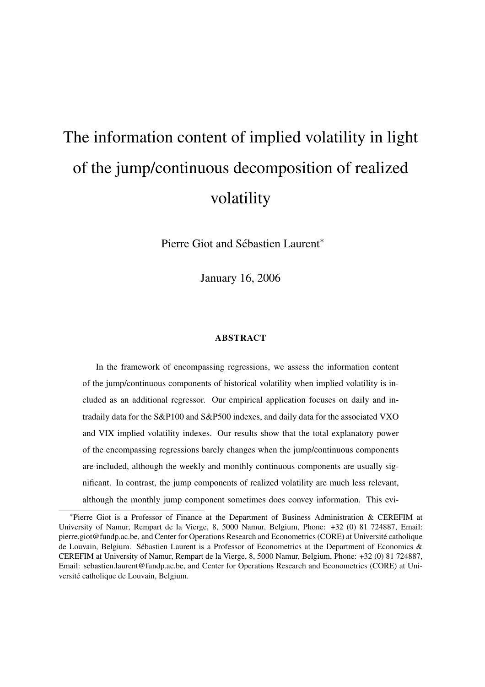# The information content of implied volatility in light of the jump/continuous decomposition of realized volatility

Pierre Giot and Sébastien Laurent<sup>\*</sup>

January 16, 2006

#### ABSTRACT

In the framework of encompassing regressions, we assess the information content of the jump/continuous components of historical volatility when implied volatility is included as an additional regressor. Our empirical application focuses on daily and intradaily data for the S&P100 and S&P500 indexes, and daily data for the associated VXO and VIX implied volatility indexes. Our results show that the total explanatory power of the encompassing regressions barely changes when the jump/continuous components are included, although the weekly and monthly continuous components are usually significant. In contrast, the jump components of realized volatility are much less relevant, although the monthly jump component sometimes does convey information. This evi-

<sup>∗</sup>Pierre Giot is a Professor of Finance at the Department of Business Administration & CEREFIM at University of Namur, Rempart de la Vierge, 8, 5000 Namur, Belgium, Phone: +32 (0) 81 724887, Email: pierre.giot@fundp.ac.be, and Center for Operations Research and Econometrics (CORE) at Universite catholique ´ de Louvain, Belgium. Sebastien Laurent is a Professor of Econometrics at the Department of Economics & ´ CEREFIM at University of Namur, Rempart de la Vierge, 8, 5000 Namur, Belgium, Phone: +32 (0) 81 724887, Email: sebastien.laurent@fundp.ac.be, and Center for Operations Research and Econometrics (CORE) at Université catholique de Louvain, Belgium.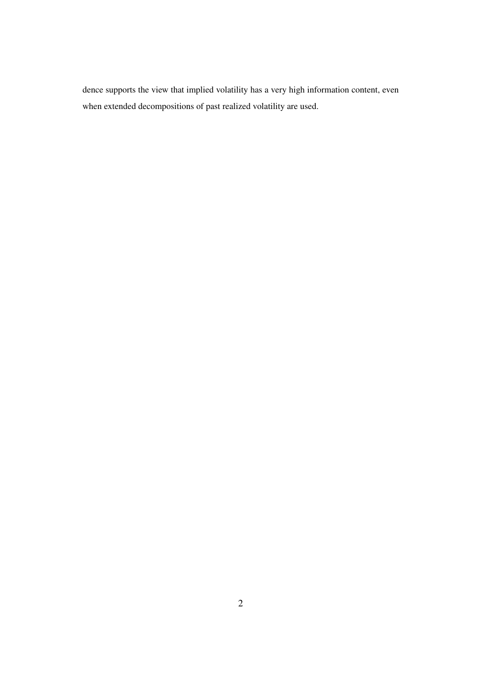dence supports the view that implied volatility has a very high information content, even when extended decompositions of past realized volatility are used.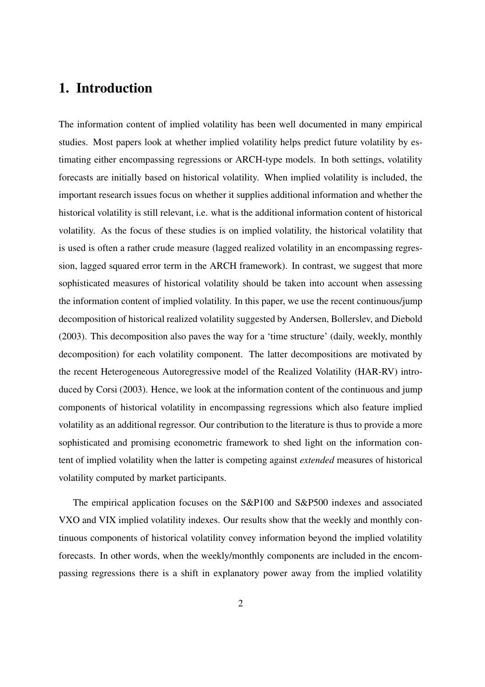# 1. Introduction

The information content of implied volatility has been well documented in many empirical studies. Most papers look at whether implied volatility helps predict future volatility by estimating either encompassing regressions or ARCH-type models. In both settings, volatility forecasts are initially based on historical volatility. When implied volatility is included, the important research issues focus on whether it supplies additional information and whether the historical volatility is still relevant, i.e. what is the additional information content of historical volatility. As the focus of these studies is on implied volatility, the historical volatility that is used is often a rather crude measure (lagged realized volatility in an encompassing regression, lagged squared error term in the ARCH framework). In contrast, we suggest that more sophisticated measures of historical volatility should be taken into account when assessing the information content of implied volatility. In this paper, we use the recent continuous/jump decomposition of historical realized volatility suggested by Andersen, Bollerslev, and Diebold (2003). This decomposition also paves the way for a 'time structure' (daily, weekly, monthly decomposition) for each volatility component. The latter decompositions are motivated by the recent Heterogeneous Autoregressive model of the Realized Volatility (HAR-RV) introduced by Corsi (2003). Hence, we look at the information content of the continuous and jump components of historical volatility in encompassing regressions which also feature implied volatility as an additional regressor. Our contribution to the literature is thus to provide a more sophisticated and promising econometric framework to shed light on the information content of implied volatility when the latter is competing against *extended* measures of historical volatility computed by market participants.

The empirical application focuses on the S&P100 and S&P500 indexes and associated VXO and VIX implied volatility indexes. Our results show that the weekly and monthly continuous components of historical volatility convey information beyond the implied volatility forecasts. In other words, when the weekly/monthly components are included in the encompassing regressions there is a shift in explanatory power away from the implied volatility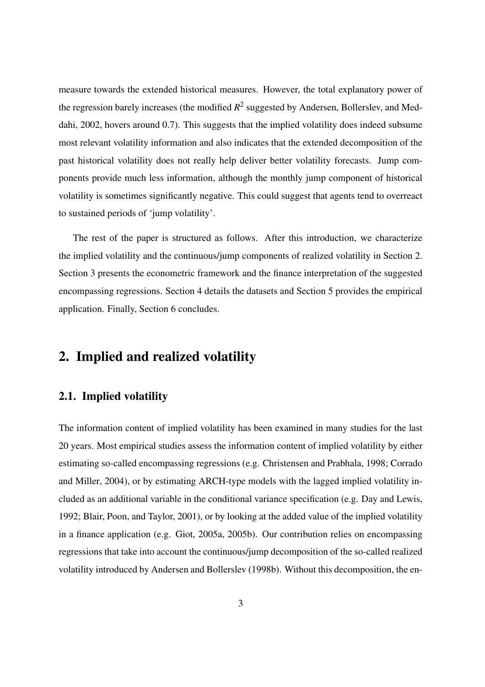measure towards the extended historical measures. However, the total explanatory power of the regression barely increases (the modified  $R^2$  suggested by Andersen, Bollerslev, and Meddahi, 2002, hovers around 0.7). This suggests that the implied volatility does indeed subsume most relevant volatility information and also indicates that the extended decomposition of the past historical volatility does not really help deliver better volatility forecasts. Jump components provide much less information, although the monthly jump component of historical volatility is sometimes significantly negative. This could suggest that agents tend to overreact to sustained periods of 'jump volatility'.

The rest of the paper is structured as follows. After this introduction, we characterize the implied volatility and the continuous/jump components of realized volatility in Section 2. Section 3 presents the econometric framework and the finance interpretation of the suggested encompassing regressions. Section 4 details the datasets and Section 5 provides the empirical application. Finally, Section 6 concludes.

## 2. Implied and realized volatility

#### 2.1. Implied volatility

The information content of implied volatility has been examined in many studies for the last 20 years. Most empirical studies assess the information content of implied volatility by either estimating so-called encompassing regressions (e.g. Christensen and Prabhala, 1998; Corrado and Miller, 2004), or by estimating ARCH-type models with the lagged implied volatility included as an additional variable in the conditional variance specification (e.g. Day and Lewis, 1992; Blair, Poon, and Taylor, 2001), or by looking at the added value of the implied volatility in a finance application (e.g. Giot, 2005a, 2005b). Our contribution relies on encompassing regressions that take into account the continuous/jump decomposition of the so-called realized volatility introduced by Andersen and Bollerslev (1998b). Without this decomposition, the en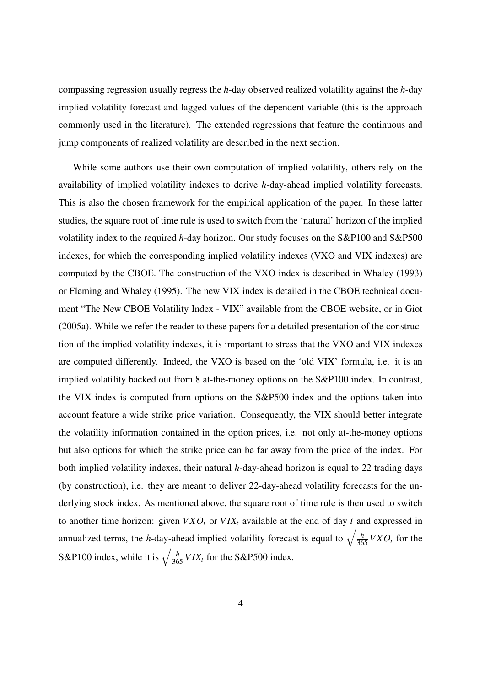compassing regression usually regress the *h*-day observed realized volatility against the *h*-day implied volatility forecast and lagged values of the dependent variable (this is the approach commonly used in the literature). The extended regressions that feature the continuous and jump components of realized volatility are described in the next section.

While some authors use their own computation of implied volatility, others rely on the availability of implied volatility indexes to derive *h*-day-ahead implied volatility forecasts. This is also the chosen framework for the empirical application of the paper. In these latter studies, the square root of time rule is used to switch from the 'natural' horizon of the implied volatility index to the required *h*-day horizon. Our study focuses on the S&P100 and S&P500 indexes, for which the corresponding implied volatility indexes (VXO and VIX indexes) are computed by the CBOE. The construction of the VXO index is described in Whaley (1993) or Fleming and Whaley (1995). The new VIX index is detailed in the CBOE technical document "The New CBOE Volatility Index - VIX" available from the CBOE website, or in Giot (2005a). While we refer the reader to these papers for a detailed presentation of the construction of the implied volatility indexes, it is important to stress that the VXO and VIX indexes are computed differently. Indeed, the VXO is based on the 'old VIX' formula, i.e. it is an implied volatility backed out from 8 at-the-money options on the S&P100 index. In contrast, the VIX index is computed from options on the S&P500 index and the options taken into account feature a wide strike price variation. Consequently, the VIX should better integrate the volatility information contained in the option prices, i.e. not only at-the-money options but also options for which the strike price can be far away from the price of the index. For both implied volatility indexes, their natural *h*-day-ahead horizon is equal to 22 trading days (by construction), i.e. they are meant to deliver 22-day-ahead volatility forecasts for the underlying stock index. As mentioned above, the square root of time rule is then used to switch to another time horizon: given  $V X O_t$  or  $V I X_t$  available at the end of day  $t$  and expressed in annualized terms, the *h*-day-ahead implied volatility forecast is equal to  $\sqrt{\frac{h}{365}} V X O_t$  for the S&P100 index, while it is  $\sqrt{\frac{h}{365}} V I X_t$  for the S&P500 index.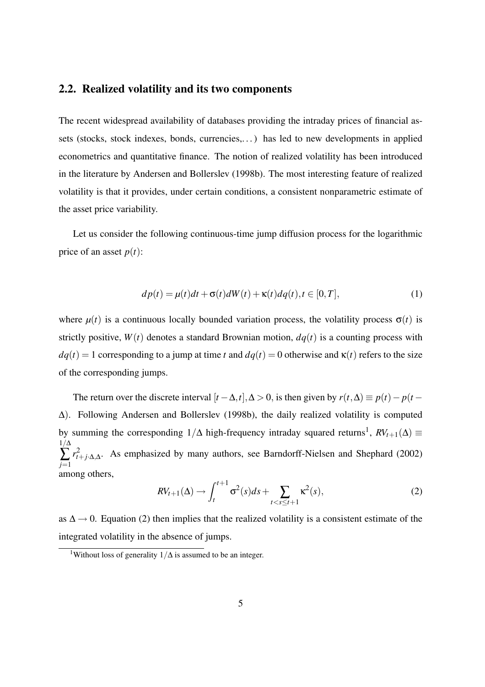#### 2.2. Realized volatility and its two components

The recent widespread availability of databases providing the intraday prices of financial assets (stocks, stock indexes, bonds, currencies,. . . ) has led to new developments in applied econometrics and quantitative finance. The notion of realized volatility has been introduced in the literature by Andersen and Bollerslev (1998b). The most interesting feature of realized volatility is that it provides, under certain conditions, a consistent nonparametric estimate of the asset price variability.

Let us consider the following continuous-time jump diffusion process for the logarithmic price of an asset  $p(t)$ :

$$
dp(t) = \mu(t)dt + \sigma(t)dW(t) + \kappa(t)dq(t), t \in [0, T],
$$
\n(1)

where  $\mu(t)$  is a continuous locally bounded variation process, the volatility process  $\sigma(t)$  is strictly positive,  $W(t)$  denotes a standard Brownian motion,  $dq(t)$  is a counting process with  $dq(t) = 1$  corresponding to a jump at time *t* and  $dq(t) = 0$  otherwise and  $\kappa(t)$  refers to the size of the corresponding jumps.

The return over the discrete interval  $[t - \Delta, t], \Delta > 0$ , is then given by  $r(t, \Delta) \equiv p(t) - p(t - \Delta, t)$ ∆). Following Andersen and Bollerslev (1998b), the daily realized volatility is computed by summing the corresponding  $1/\Delta$  high-frequency intraday squared returns<sup>1</sup>,  $RV_{t+1}(\Delta) \equiv$  $1/\Delta$ ∑ *j*=1  $r_t^2$ *t*+*j*·∆,∆ . As emphasized by many authors, see Barndorff-Nielsen and Shephard (2002) among others,

$$
RV_{t+1}(\Delta) \to \int_{t}^{t+1} \sigma^{2}(s)ds + \sum_{t < s \leq t+1} \kappa^{2}(s),
$$
 (2)

as  $\Delta \rightarrow 0$ . Equation (2) then implies that the realized volatility is a consistent estimate of the integrated volatility in the absence of jumps.

<sup>&</sup>lt;sup>1</sup>Without loss of generality  $1/\Delta$  is assumed to be an integer.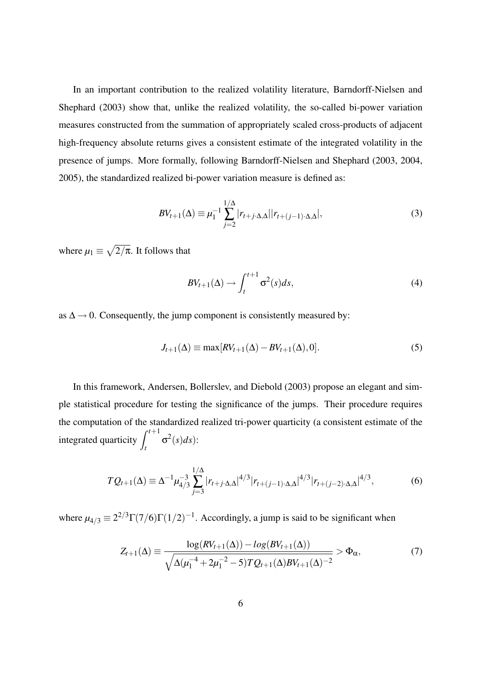In an important contribution to the realized volatility literature, Barndorff-Nielsen and Shephard (2003) show that, unlike the realized volatility, the so-called bi-power variation measures constructed from the summation of appropriately scaled cross-products of adjacent high-frequency absolute returns gives a consistent estimate of the integrated volatility in the presence of jumps. More formally, following Barndorff-Nielsen and Shephard (2003, 2004, 2005), the standardized realized bi-power variation measure is defined as:

$$
BV_{t+1}(\Delta) \equiv \mu_1^{-1} \sum_{j=2}^{1/\Delta} |r_{t+j} \Delta \Delta| |r_{t+(j-1)\Delta \Delta}|,\tag{3}
$$

where  $\mu_1 \equiv$ p  $2/\pi$ . It follows that

$$
BV_{t+1}(\Delta) \to \int_{t}^{t+1} \sigma^2(s) ds,
$$
\n(4)

as  $\Delta \rightarrow 0$ . Consequently, the jump component is consistently measured by:

$$
J_{t+1}(\Delta) \equiv \max[RV_{t+1}(\Delta) - BV_{t+1}(\Delta), 0].
$$
\n<sup>(5)</sup>

In this framework, Andersen, Bollerslev, and Diebold (2003) propose an elegant and simple statistical procedure for testing the significance of the jumps. Their procedure requires the computation of the standardized realized tri-power quarticity (a consistent estimate of the integrated quarticity  $\int^{t+1}$ *t*  $\sigma^2(s)ds$ :

$$
TQ_{t+1}(\Delta) \equiv \Delta^{-1} \mu_{4/3}^{-3} \sum_{j=3}^{1/\Delta} |r_{t+j} \cdot \Delta_{,\Delta}|^{4/3} |r_{t+(j-1)} \cdot \Delta_{,\Delta}|^{4/3} |r_{t+(j-2)} \cdot \Delta_{,\Delta}|^{4/3}, \tag{6}
$$

where  $\mu_{4/3} \equiv 2^{2/3} \Gamma(7/6) \Gamma(1/2)^{-1}$ . Accordingly, a jump is said to be significant when

$$
Z_{t+1}(\Delta) = \frac{\log(RV_{t+1}(\Delta)) - \log(BV_{t+1}(\Delta))}{\sqrt{\Delta(\mu_1^{-4} + 2\mu_1^{-2} - 5)TQ_{t+1}(\Delta)BV_{t+1}(\Delta)^{-2}}} > \Phi_\alpha,
$$
\n(7)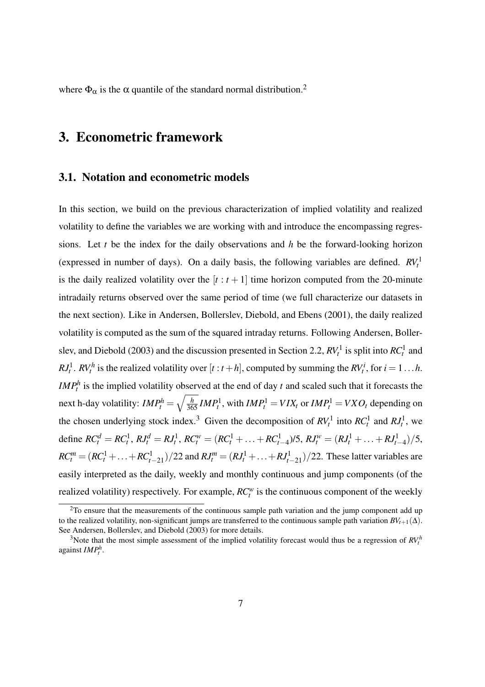where  $\Phi_{\alpha}$  is the  $\alpha$  quantile of the standard normal distribution.<sup>2</sup>

## 3. Econometric framework

#### 3.1. Notation and econometric models

In this section, we build on the previous characterization of implied volatility and realized volatility to define the variables we are working with and introduce the encompassing regressions. Let *t* be the index for the daily observations and *h* be the forward-looking horizon (expressed in number of days). On a daily basis, the following variables are defined.  $RV<sub>t</sub><sup>1</sup>$ is the daily realized volatility over the  $[t : t + 1]$  time horizon computed from the 20-minute intradaily returns observed over the same period of time (we full characterize our datasets in the next section). Like in Andersen, Bollerslev, Diebold, and Ebens (2001), the daily realized volatility is computed as the sum of the squared intraday returns. Following Andersen, Bollerslev, and Diebold (2003) and the discussion presented in Section 2.2,  $RV_t^1$  is split into  $RC_t^1$  and *RJ*<sup>1</sup>. *RV*<sup>*h*</sup> is the realized volatility over  $[t : t + h]$ , computed by summing the *RV*<sup>*i*</sup>, for  $i = 1...h$ . *IMP<sub>t</sub>*<sup>h</sup> is the implied volatility observed at the end of day *t* and scaled such that it forecasts the next h-day volatility:  $IMP_t^h = \sqrt{\frac{h}{365}} IMP_t^1$ , with  $IMP_t^1 = VIX_t$  or  $IMP_t^1 = VXO_t$  depending on the chosen underlying stock index.<sup>3</sup> Given the decomposition of  $RV_t^1$  into  $RC_t^1$  and  $RJ_t^1$ , we define  $RC_t^d = RC_t^1$ ,  $RJ_t^d = RI_t^1$ ,  $RC_t^w = (RC_t^1 + ... + RC_{t-4}^1)/5$ ,  $RI_t^w = (RI_t^1 + ... + RJ_{t-4}^1)/5$ ,  $RC_t^m = (RC_t^1 + ... + RC_{t-21}^1)/22$  and  $RI_t^m = (RI_t^1 + ... + RI_{t-21}^1)/22$ . These latter variables are easily interpreted as the daily, weekly and monthly continuous and jump components (of the realized volatility) respectively. For example,  $RC_t^w$  is the continuous component of the weekly

<sup>&</sup>lt;sup>2</sup>To ensure that the measurements of the continuous sample path variation and the jump component add up to the realized volatility, non-significant jumps are transferred to the continuous sample path variation  $BV_{t+1}(\Delta)$ . See Andersen, Bollerslev, and Diebold (2003) for more details.

<sup>&</sup>lt;sup>3</sup>Note that the most simple assessment of the implied volatility forecast would thus be a regression of  $RV<sub>t</sub><sup>h</sup>$ against *IMP<sup>h</sup> t* .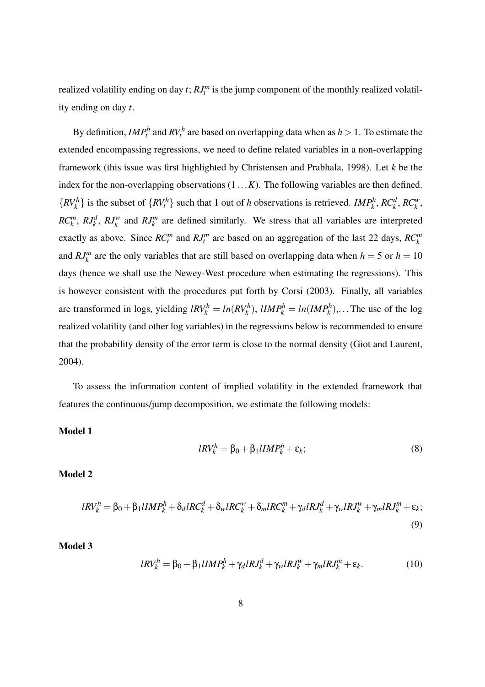realized volatility ending on day *t*; *RJ<sup>m</sup> t* is the jump component of the monthly realized volatility ending on day *t*.

By definition,  $IMP_t^h$  and  $RV_t^h$  are based on overlapping data when as  $h > 1$ . To estimate the extended encompassing regressions, we need to define related variables in a non-overlapping framework (this issue was first highlighted by Christensen and Prabhala, 1998). Let *k* be the index for the non-overlapping observations (1...*K*). The following variables are then defined.  $\{RV_k^h\}$  is the subset of  $\{RV_t^h\}$  such that 1 out of *h* observations is retrieved. *IMP<sub>k</sub>*, *RC<sub>k</sub>*<sup>*k*</sup>, *RC<sub>k</sub>*<sup>*w*</sup>,  $RC_k^m$ ,  $RJ_k^d$ ,  $RJ_k^w$  and  $RJ_k^m$  are defined similarly. We stress that all variables are interpreted exactly as above. Since  $RC_t^m$  and  $RI_t^m$  are based on an aggregation of the last 22 days,  $RC_k^m$ and  $RJ_k^m$  are the only variables that are still based on overlapping data when  $h = 5$  or  $h = 10$ days (hence we shall use the Newey-West procedure when estimating the regressions). This is however consistent with the procedures put forth by Corsi (2003). Finally, all variables are transformed in logs, yielding  $lRV_k^h = ln(RV_k^h)$ ,  $lIMP_k^h = ln(IMP_k^h)$ ,... The use of the log realized volatility (and other log variables) in the regressions below is recommended to ensure that the probability density of the error term is close to the normal density (Giot and Laurent, 2004).

To assess the information content of implied volatility in the extended framework that features the continuous/jump decomposition, we estimate the following models:

Model 1

$$
lRV_k^h = \beta_0 + \beta_1 lIMP_k^h + \varepsilon_k; \tag{8}
$$

Model 2

$$
lRV_k^h = \beta_0 + \beta_1 lIMP_k^h + \delta_d lRC_k^d + \delta_w lRC_k^w + \delta_m lRC_k^m + \gamma_d lRJ_k^d + \gamma_w lRJ_k^w + \gamma_m lRJ_k^m + \varepsilon_k;
$$
\n(9)

Model 3

$$
lRV_k^h = \beta_0 + \beta_1 lIMP_k^h + \gamma_d lR J_k^d + \gamma_w lR J_k^w + \gamma_m lR J_k^m + \varepsilon_k. \tag{10}
$$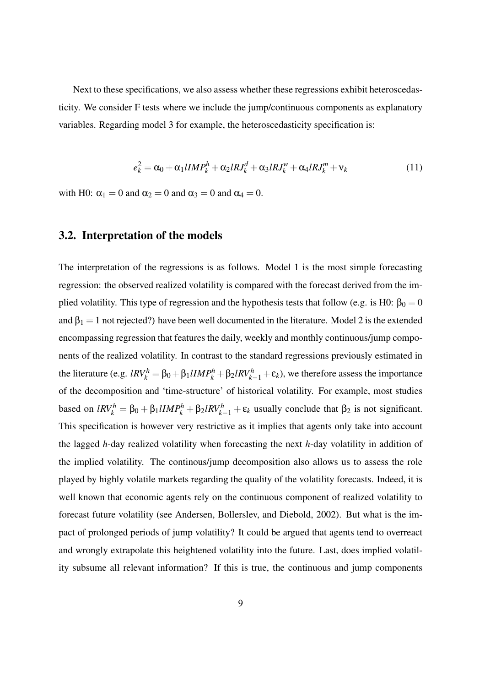Next to these specifications, we also assess whether these regressions exhibit heteroscedasticity. We consider F tests where we include the jump/continuous components as explanatory variables. Regarding model 3 for example, the heteroscedasticity specification is:

$$
e_k^2 = \alpha_0 + \alpha_1 I I M P_k^h + \alpha_2 I R J_k^d + \alpha_3 I R J_k^w + \alpha_4 I R J_k^m + \nu_k
$$
\n(11)

with H0:  $\alpha_1 = 0$  and  $\alpha_2 = 0$  and  $\alpha_3 = 0$  and  $\alpha_4 = 0$ .

#### 3.2. Interpretation of the models

The interpretation of the regressions is as follows. Model 1 is the most simple forecasting regression: the observed realized volatility is compared with the forecast derived from the implied volatility. This type of regression and the hypothesis tests that follow (e.g. is H0:  $\beta_0 = 0$ and  $\beta_1 = 1$  not rejected?) have been well documented in the literature. Model 2 is the extended encompassing regression that features the daily, weekly and monthly continuous/jump components of the realized volatility. In contrast to the standard regressions previously estimated in the literature (e.g.  $lRV_k^h = \beta_0 + \beta_1 lIMP_k^h + \beta_2 lRV_{k-1}^h + \varepsilon_k$ ), we therefore assess the importance of the decomposition and 'time-structure' of historical volatility. For example, most studies based on  $lRV_k^h = \beta_0 + \beta_1 lIMP_k^h + \beta_2 lRV_{k-1}^h + \varepsilon_k$  usually conclude that  $\beta_2$  is not significant. This specification is however very restrictive as it implies that agents only take into account the lagged *h*-day realized volatility when forecasting the next *h*-day volatility in addition of the implied volatility. The continous/jump decomposition also allows us to assess the role played by highly volatile markets regarding the quality of the volatility forecasts. Indeed, it is well known that economic agents rely on the continuous component of realized volatility to forecast future volatility (see Andersen, Bollerslev, and Diebold, 2002). But what is the impact of prolonged periods of jump volatility? It could be argued that agents tend to overreact and wrongly extrapolate this heightened volatility into the future. Last, does implied volatility subsume all relevant information? If this is true, the continuous and jump components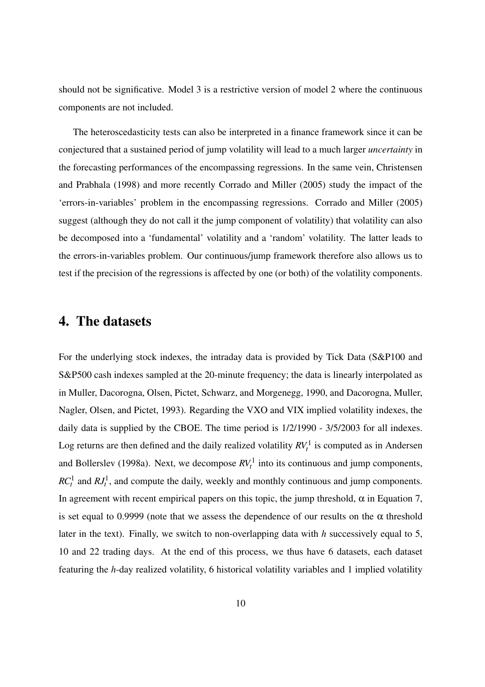should not be significative. Model 3 is a restrictive version of model 2 where the continuous components are not included.

The heteroscedasticity tests can also be interpreted in a finance framework since it can be conjectured that a sustained period of jump volatility will lead to a much larger *uncertainty* in the forecasting performances of the encompassing regressions. In the same vein, Christensen and Prabhala (1998) and more recently Corrado and Miller (2005) study the impact of the 'errors-in-variables' problem in the encompassing regressions. Corrado and Miller (2005) suggest (although they do not call it the jump component of volatility) that volatility can also be decomposed into a 'fundamental' volatility and a 'random' volatility. The latter leads to the errors-in-variables problem. Our continuous/jump framework therefore also allows us to test if the precision of the regressions is affected by one (or both) of the volatility components.

## 4. The datasets

For the underlying stock indexes, the intraday data is provided by Tick Data (S&P100 and S&P500 cash indexes sampled at the 20-minute frequency; the data is linearly interpolated as in Muller, Dacorogna, Olsen, Pictet, Schwarz, and Morgenegg, 1990, and Dacorogna, Muller, Nagler, Olsen, and Pictet, 1993). Regarding the VXO and VIX implied volatility indexes, the daily data is supplied by the CBOE. The time period is  $1/2/1990 - 3/5/2003$  for all indexes. Log returns are then defined and the daily realized volatility  $RV_t^1$  is computed as in Andersen and Bollerslev (1998a). Next, we decompose  $RV<sub>t</sub><sup>1</sup>$  into its continuous and jump components,  $RC<sub>t</sub><sup>1</sup>$  and  $RJ<sub>t</sub><sup>1</sup>$ , and compute the daily, weekly and monthly continuous and jump components. In agreement with recent empirical papers on this topic, the jump threshold,  $\alpha$  in Equation 7, is set equal to 0.9999 (note that we assess the dependence of our results on the  $\alpha$  threshold later in the text). Finally, we switch to non-overlapping data with *h* successively equal to 5, 10 and 22 trading days. At the end of this process, we thus have 6 datasets, each dataset featuring the *h*-day realized volatility, 6 historical volatility variables and 1 implied volatility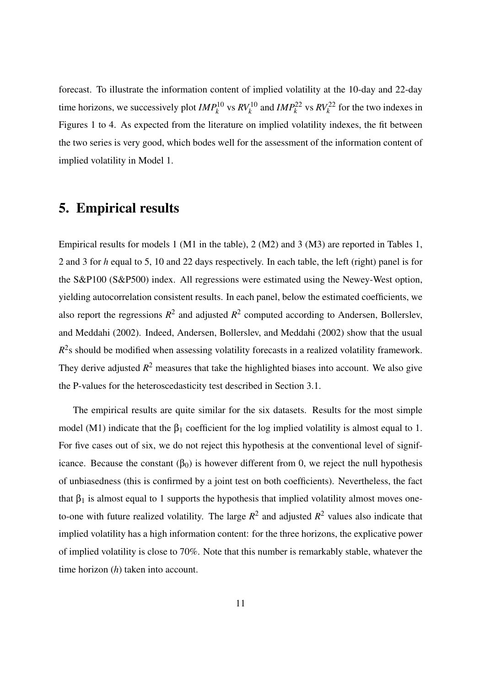forecast. To illustrate the information content of implied volatility at the 10-day and 22-day time horizons, we successively plot  $IMP_k^{10}$  vs  $RV_k^{10}$  and  $IMP_k^{22}$  vs  $RV_k^{22}$  for the two indexes in Figures 1 to 4. As expected from the literature on implied volatility indexes, the fit between the two series is very good, which bodes well for the assessment of the information content of implied volatility in Model 1.

## 5. Empirical results

Empirical results for models 1 (M1 in the table), 2 (M2) and 3 (M3) are reported in Tables 1, 2 and 3 for *h* equal to 5, 10 and 22 days respectively. In each table, the left (right) panel is for the S&P100 (S&P500) index. All regressions were estimated using the Newey-West option, yielding autocorrelation consistent results. In each panel, below the estimated coefficients, we also report the regressions  $R^2$  and adjusted  $R^2$  computed according to Andersen, Bollerslev, and Meddahi (2002). Indeed, Andersen, Bollerslev, and Meddahi (2002) show that the usual  $R<sup>2</sup>$ s should be modified when assessing volatility forecasts in a realized volatility framework. They derive adjusted  $R^2$  measures that take the highlighted biases into account. We also give the P-values for the heteroscedasticity test described in Section 3.1.

The empirical results are quite similar for the six datasets. Results for the most simple model (M1) indicate that the  $\beta_1$  coefficient for the log implied volatility is almost equal to 1. For five cases out of six, we do not reject this hypothesis at the conventional level of significance. Because the constant  $(\beta_0)$  is however different from 0, we reject the null hypothesis of unbiasedness (this is confirmed by a joint test on both coefficients). Nevertheless, the fact that  $\beta_1$  is almost equal to 1 supports the hypothesis that implied volatility almost moves oneto-one with future realized volatility. The large  $R^2$  and adjusted  $R^2$  values also indicate that implied volatility has a high information content: for the three horizons, the explicative power of implied volatility is close to 70%. Note that this number is remarkably stable, whatever the time horizon (*h*) taken into account.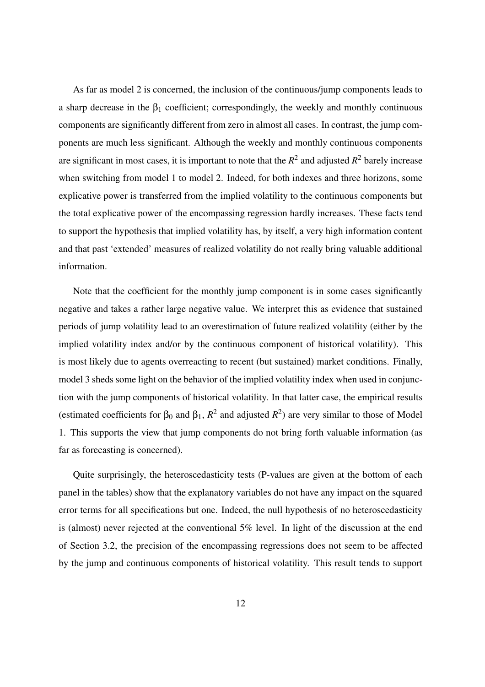As far as model 2 is concerned, the inclusion of the continuous/jump components leads to a sharp decrease in the  $\beta_1$  coefficient; correspondingly, the weekly and monthly continuous components are significantly different from zero in almost all cases. In contrast, the jump components are much less significant. Although the weekly and monthly continuous components are significant in most cases, it is important to note that the  $R^2$  and adjusted  $R^2$  barely increase when switching from model 1 to model 2. Indeed, for both indexes and three horizons, some explicative power is transferred from the implied volatility to the continuous components but the total explicative power of the encompassing regression hardly increases. These facts tend to support the hypothesis that implied volatility has, by itself, a very high information content and that past 'extended' measures of realized volatility do not really bring valuable additional information.

Note that the coefficient for the monthly jump component is in some cases significantly negative and takes a rather large negative value. We interpret this as evidence that sustained periods of jump volatility lead to an overestimation of future realized volatility (either by the implied volatility index and/or by the continuous component of historical volatility). This is most likely due to agents overreacting to recent (but sustained) market conditions. Finally, model 3 sheds some light on the behavior of the implied volatility index when used in conjunction with the jump components of historical volatility. In that latter case, the empirical results (estimated coefficients for  $\beta_0$  and  $\beta_1$ ,  $R^2$  and adjusted  $R^2$ ) are very similar to those of Model 1. This supports the view that jump components do not bring forth valuable information (as far as forecasting is concerned).

Quite surprisingly, the heteroscedasticity tests (P-values are given at the bottom of each panel in the tables) show that the explanatory variables do not have any impact on the squared error terms for all specifications but one. Indeed, the null hypothesis of no heteroscedasticity is (almost) never rejected at the conventional 5% level. In light of the discussion at the end of Section 3.2, the precision of the encompassing regressions does not seem to be affected by the jump and continuous components of historical volatility. This result tends to support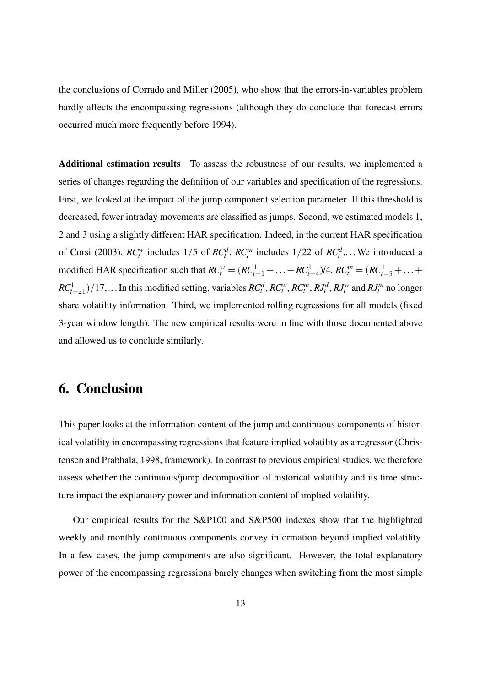the conclusions of Corrado and Miller (2005), who show that the errors-in-variables problem hardly affects the encompassing regressions (although they do conclude that forecast errors occurred much more frequently before 1994).

Additional estimation results To assess the robustness of our results, we implemented a series of changes regarding the definition of our variables and specification of the regressions. First, we looked at the impact of the jump component selection parameter. If this threshold is decreased, fewer intraday movements are classified as jumps. Second, we estimated models 1, 2 and 3 using a slightly different HAR specification. Indeed, in the current HAR specification of Corsi (2003),  $RC_t^w$  includes  $1/5$  of  $RC_t^d$ ,  $RC_t^m$  includes  $1/22$  of  $RC_t^d$ ,... We introduced a modified HAR specification such that  $RC_t^w = (RC_{t-1}^1 + ... + RC_{t-4}^1)/4$ ,  $RC_t^m = (RC_{t-5}^1 + ... +$  $RC^1_{t-21})/17,...$  In this modified setting, variables  $RC^d_t$ ,  $RC^w_t$ ,  $RC^m_t$ ,  $RI^d_t$ ,  $RI^w_t$  and  $RI^m_t$  no longer share volatility information. Third, we implemented rolling regressions for all models (fixed 3-year window length). The new empirical results were in line with those documented above and allowed us to conclude similarly.

### 6. Conclusion

This paper looks at the information content of the jump and continuous components of historical volatility in encompassing regressions that feature implied volatility as a regressor (Christensen and Prabhala, 1998, framework). In contrast to previous empirical studies, we therefore assess whether the continuous/jump decomposition of historical volatility and its time structure impact the explanatory power and information content of implied volatility.

Our empirical results for the S&P100 and S&P500 indexes show that the highlighted weekly and monthly continuous components convey information beyond implied volatility. In a few cases, the jump components are also significant. However, the total explanatory power of the encompassing regressions barely changes when switching from the most simple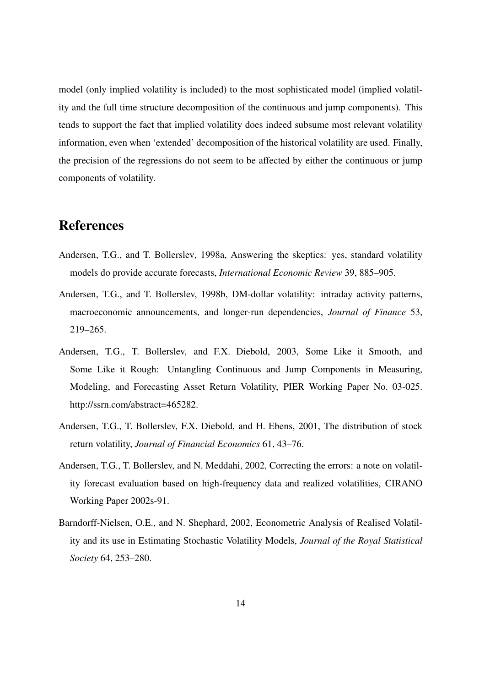model (only implied volatility is included) to the most sophisticated model (implied volatility and the full time structure decomposition of the continuous and jump components). This tends to support the fact that implied volatility does indeed subsume most relevant volatility information, even when 'extended' decomposition of the historical volatility are used. Finally, the precision of the regressions do not seem to be affected by either the continuous or jump components of volatility.

# References

- Andersen, T.G., and T. Bollerslev, 1998a, Answering the skeptics: yes, standard volatility models do provide accurate forecasts, *International Economic Review* 39, 885–905.
- Andersen, T.G., and T. Bollerslev, 1998b, DM-dollar volatility: intraday activity patterns, macroeconomic announcements, and longer-run dependencies, *Journal of Finance* 53, 219–265.
- Andersen, T.G., T. Bollerslev, and F.X. Diebold, 2003, Some Like it Smooth, and Some Like it Rough: Untangling Continuous and Jump Components in Measuring, Modeling, and Forecasting Asset Return Volatility, PIER Working Paper No. 03-025. http://ssrn.com/abstract=465282.
- Andersen, T.G., T. Bollerslev, F.X. Diebold, and H. Ebens, 2001, The distribution of stock return volatility, *Journal of Financial Economics* 61, 43–76.
- Andersen, T.G., T. Bollerslev, and N. Meddahi, 2002, Correcting the errors: a note on volatility forecast evaluation based on high-frequency data and realized volatilities, CIRANO Working Paper 2002s-91.
- Barndorff-Nielsen, O.E., and N. Shephard, 2002, Econometric Analysis of Realised Volatility and its use in Estimating Stochastic Volatility Models, *Journal of the Royal Statistical Society* 64, 253–280.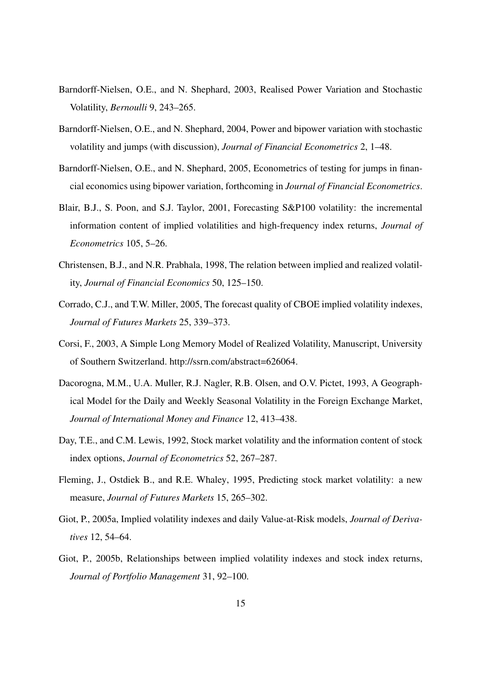- Barndorff-Nielsen, O.E., and N. Shephard, 2003, Realised Power Variation and Stochastic Volatility, *Bernoulli* 9, 243–265.
- Barndorff-Nielsen, O.E., and N. Shephard, 2004, Power and bipower variation with stochastic volatility and jumps (with discussion), *Journal of Financial Econometrics* 2, 1–48.
- Barndorff-Nielsen, O.E., and N. Shephard, 2005, Econometrics of testing for jumps in financial economics using bipower variation, forthcoming in *Journal of Financial Econometrics*.
- Blair, B.J., S. Poon, and S.J. Taylor, 2001, Forecasting S&P100 volatility: the incremental information content of implied volatilities and high-frequency index returns, *Journal of Econometrics* 105, 5–26.
- Christensen, B.J., and N.R. Prabhala, 1998, The relation between implied and realized volatility, *Journal of Financial Economics* 50, 125–150.
- Corrado, C.J., and T.W. Miller, 2005, The forecast quality of CBOE implied volatility indexes, *Journal of Futures Markets* 25, 339–373.
- Corsi, F., 2003, A Simple Long Memory Model of Realized Volatility, Manuscript, University of Southern Switzerland. http://ssrn.com/abstract=626064.
- Dacorogna, M.M., U.A. Muller, R.J. Nagler, R.B. Olsen, and O.V. Pictet, 1993, A Geographical Model for the Daily and Weekly Seasonal Volatility in the Foreign Exchange Market, *Journal of International Money and Finance* 12, 413–438.
- Day, T.E., and C.M. Lewis, 1992, Stock market volatility and the information content of stock index options, *Journal of Econometrics* 52, 267–287.
- Fleming, J., Ostdiek B., and R.E. Whaley, 1995, Predicting stock market volatility: a new measure, *Journal of Futures Markets* 15, 265–302.
- Giot, P., 2005a, Implied volatility indexes and daily Value-at-Risk models, *Journal of Derivatives* 12, 54–64.
- Giot, P., 2005b, Relationships between implied volatility indexes and stock index returns, *Journal of Portfolio Management* 31, 92–100.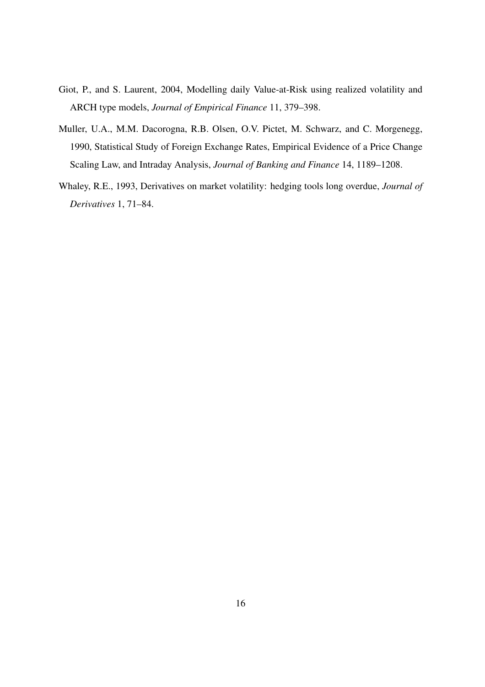- Giot, P., and S. Laurent, 2004, Modelling daily Value-at-Risk using realized volatility and ARCH type models, *Journal of Empirical Finance* 11, 379–398.
- Muller, U.A., M.M. Dacorogna, R.B. Olsen, O.V. Pictet, M. Schwarz, and C. Morgenegg, 1990, Statistical Study of Foreign Exchange Rates, Empirical Evidence of a Price Change Scaling Law, and Intraday Analysis, *Journal of Banking and Finance* 14, 1189–1208.
- Whaley, R.E., 1993, Derivatives on market volatility: hedging tools long overdue, *Journal of Derivatives* 1, 71–84.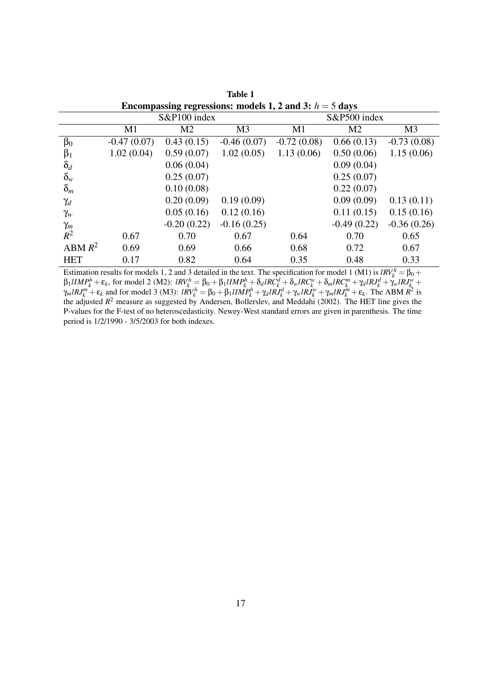| Encompassing regressions: models 1, 2 and 3: $h = 5$ days |               |                |                |               |                |                |  |
|-----------------------------------------------------------|---------------|----------------|----------------|---------------|----------------|----------------|--|
|                                                           | S&P100 index  |                |                | S&P500 index  |                |                |  |
|                                                           | M1            | M <sub>2</sub> | M <sub>3</sub> | M1            | M <sub>2</sub> | M <sub>3</sub> |  |
| $\beta_0$                                                 | $-0.47(0.07)$ | 0.43(0.15)     | $-0.46(0.07)$  | $-0.72(0.08)$ | 0.66(0.13)     | $-0.73(0.08)$  |  |
| $\beta_1$                                                 | 1.02(0.04)    | 0.59(0.07)     | 1.02(0.05)     | 1.13(0.06)    | 0.50(0.06)     | 1.15(0.06)     |  |
| $\delta_d$                                                |               | 0.06(0.04)     |                |               | 0.09(0.04)     |                |  |
| $\delta_w$                                                |               | 0.25(0.07)     |                |               | 0.25(0.07)     |                |  |
| $\delta_m$                                                |               | 0.10(0.08)     |                |               | 0.22(0.07)     |                |  |
| $\gamma_d$                                                |               | 0.20(0.09)     | 0.19(0.09)     |               | 0.09(0.09)     | 0.13(0.11)     |  |
| $\gamma_w$                                                |               | 0.05(0.16)     | 0.12(0.16)     |               | 0.11(0.15)     | 0.15(0.16)     |  |
| $\gamma_m$                                                |               | $-0.20(0.22)$  | $-0.16(0.25)$  |               | $-0.49(0.22)$  | $-0.36(0.26)$  |  |
| $R^2$                                                     | 0.67          | 0.70           | 0.67           | 0.64          | 0.70           | 0.65           |  |
| ABM $R^2$                                                 | 0.69          | 0.69           | 0.66           | 0.68          | 0.72           | 0.67           |  |
| <b>HET</b>                                                | 0.17          | 0.82           | 0.64           | 0.35          | 0.48           | 0.33           |  |

Table 1

Estimation results for models 1, 2 and 3 detailed in the text. The specification for model 1 (M1) is  $lRV_k^h = \beta_0 +$  $\beta_1 IIMP_k^h + \varepsilon_k$ , for model 2 (M2):  $IRV_k^h = \beta_0 + \beta_1 IIMP_k^h + \delta_d IRC_k^d + \delta_w IRC_k^w + \delta_m IRC_k^m + \gamma_d IRJ_k^d + \gamma_w IRJ_k^w +$  $\gamma_m I R J_k^m + \varepsilon_k$  and for model 3 (M3):  $I \dot{R} V_k^h = \beta_0 + \beta_1 I I M P_k^h + \gamma_d I R \dot{J}_k^d + \gamma_w I R \dot{J}_k^w + \gamma_m I R J_k^m + \varepsilon_k$ . The ABM  $\dot{R}^2$  is the adjusted  $R^2$  measure as suggested by Andersen, Bollerslev, and Meddahi (2002). The HET line gives the P-values for the F-test of no heteroscedasticity. Newey-West standard errors are given in parenthesis. The time period is 1/2/1990 - 3/5/2003 for both indexes.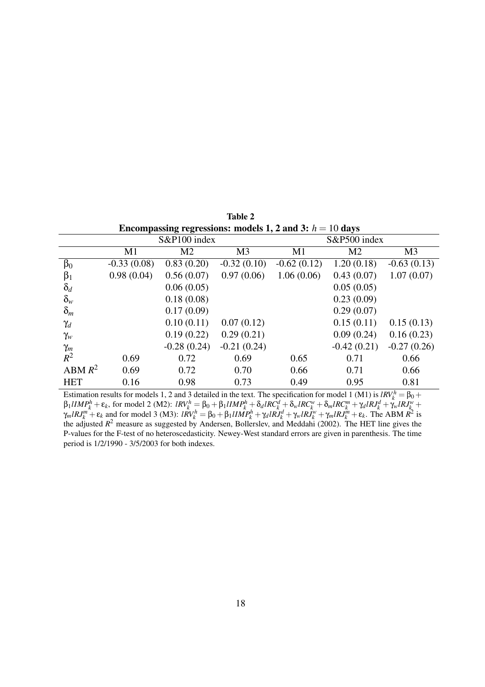| Encompassing regressions: models 1, 2 and 3: $h = 10$ days |               |                |                |               |                |                |  |
|------------------------------------------------------------|---------------|----------------|----------------|---------------|----------------|----------------|--|
|                                                            | S&P100 index  |                |                | S&P500 index  |                |                |  |
|                                                            | M1            | M <sub>2</sub> | M <sub>3</sub> | M1            | M <sub>2</sub> | M <sub>3</sub> |  |
| $\beta_0$                                                  | $-0.33(0.08)$ | 0.83(0.20)     | $-0.32(0.10)$  | $-0.62(0.12)$ | 1.20(0.18)     | $-0.63(0.13)$  |  |
| $\beta_1$                                                  | 0.98(0.04)    | 0.56(0.07)     | 0.97(0.06)     | 1.06(0.06)    | 0.43(0.07)     | 1.07(0.07)     |  |
| $\delta_d$                                                 |               | 0.06(0.05)     |                |               | 0.05(0.05)     |                |  |
| $\delta_w$                                                 |               | 0.18(0.08)     |                |               | 0.23(0.09)     |                |  |
| $\delta_m$                                                 |               | 0.17(0.09)     |                |               | 0.29(0.07)     |                |  |
| $\gamma_d$                                                 |               | 0.10(0.11)     | 0.07(0.12)     |               | 0.15(0.11)     | 0.15(0.13)     |  |
| $\gamma_w$                                                 |               | 0.19(0.22)     | 0.29(0.21)     |               | 0.09(0.24)     | 0.16(0.23)     |  |
| $\gamma_m$                                                 |               | $-0.28(0.24)$  | $-0.21(0.24)$  |               | $-0.42(0.21)$  | $-0.27(0.26)$  |  |
| $R^2$                                                      | 0.69          | 0.72           | 0.69           | 0.65          | 0.71           | 0.66           |  |
| ABM $R^2$                                                  | 0.69          | 0.72           | 0.70           | 0.66          | 0.71           | 0.66           |  |
| <b>HET</b>                                                 | 0.16          | 0.98           | 0.73           | 0.49          | 0.95           | 0.81           |  |

Table 2

Estimation results for models 1, 2 and 3 detailed in the text. The specification for model 1 (M1) is  $lRV_k^h = \beta_0 +$  $\beta_1 IIMP_k^h + \varepsilon_k$ , for model 2 (M2):  $IRV_k^h = \beta_0 + \beta_1 IIMP_k^h + \delta_d IRC_k^d + \delta_w IRC_k^w + \delta_m IRC_k^m + \gamma_d IRJ_k^d + \gamma_w IRJ_k^w +$  $\gamma_m I R J_k^m + \varepsilon_k$  and for model 3 (M3):  $I \dot{R} V_k^h = \beta_0 + \beta_1 I I M P_k^h + \gamma_d I R \dot{J}_k^d + \gamma_w I R \dot{J}_k^w + \gamma_m I R J_k^m + \varepsilon_k$ . The ABM  $\dot{R}^2$  is the adjusted  $R^2$  measure as suggested by Andersen, Bollerslev, and Meddahi (2002). The HET line gives the P-values for the F-test of no heteroscedasticity. Newey-West standard errors are given in parenthesis. The time period is 1/2/1990 - 3/5/2003 for both indexes.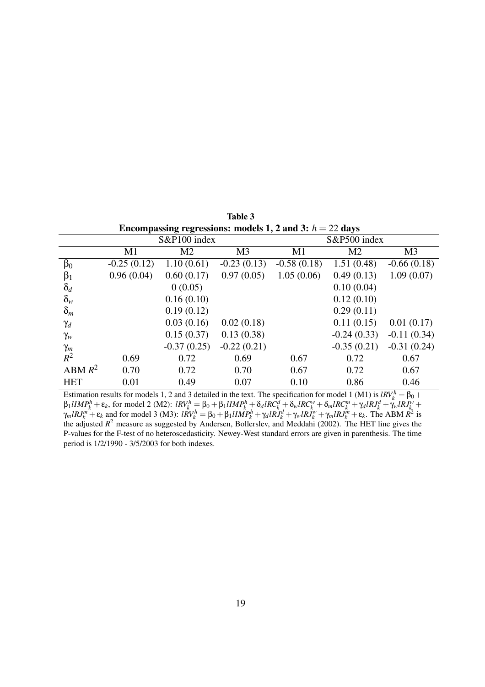| Encompassing regressions: models 1, 2 and 3: $h = 22$ days |               |                |                |               |                |                |  |
|------------------------------------------------------------|---------------|----------------|----------------|---------------|----------------|----------------|--|
|                                                            | S&P100 index  |                |                | S&P500 index  |                |                |  |
|                                                            | M1            | M <sub>2</sub> | M <sub>3</sub> | M1            | M <sub>2</sub> | M <sub>3</sub> |  |
| $\beta_0$                                                  | $-0.25(0.12)$ | 1.10(0.61)     | $-0.23(0.13)$  | $-0.58(0.18)$ | 1.51(0.48)     | $-0.66(0.18)$  |  |
| $\beta_1$                                                  | 0.96(0.04)    | 0.60(0.17)     | 0.97(0.05)     | 1.05(0.06)    | 0.49(0.13)     | 1.09(0.07)     |  |
| $\delta_d$                                                 |               | 0(0.05)        |                |               | 0.10(0.04)     |                |  |
| $\delta_w$                                                 |               | 0.16(0.10)     |                |               | 0.12(0.10)     |                |  |
| $\delta_m$                                                 |               | 0.19(0.12)     |                |               | 0.29(0.11)     |                |  |
| $\gamma_d$                                                 |               | 0.03(0.16)     | 0.02(0.18)     |               | 0.11(0.15)     | 0.01(0.17)     |  |
| $\gamma_w$                                                 |               | 0.15(0.37)     | 0.13(0.38)     |               | $-0.24(0.33)$  | $-0.11(0.34)$  |  |
|                                                            |               | $-0.37(0.25)$  | $-0.22(0.21)$  |               | $-0.35(0.21)$  | $-0.31(0.24)$  |  |
| $\frac{\gamma_m}{R^2}$                                     | 0.69          | 0.72           | 0.69           | 0.67          | 0.72           | 0.67           |  |
| ABM $R^2$                                                  | 0.70          | 0.72           | 0.70           | 0.67          | 0.72           | 0.67           |  |
| <b>HET</b>                                                 | 0.01          | 0.49           | 0.07           | 0.10          | 0.86           | 0.46           |  |

Table 3

Estimation results for models 1, 2 and 3 detailed in the text. The specification for model 1 (M1) is  $lRV_k^h = \beta_0 +$  $\beta_1 IIMP_k^h + \varepsilon_k$ , for model 2 (M2):  $IRV_k^h = \beta_0 + \beta_1 IIMP_k^h + \delta_d IRC_k^d + \delta_w IRC_k^w + \delta_m IRC_k^m + \gamma_d IRJ_k^d + \gamma_w IRJ_k^w +$  $\gamma_m I R J_k^m + \varepsilon_k$  and for model 3 (M3):  $I \dot{R} V_k^h = \beta_0 + \beta_1 I I M P_k^h + \gamma_d I R \dot{J}_k^d + \gamma_w I R \dot{J}_k^w + \gamma_m I R J_k^m + \varepsilon_k$ . The ABM  $\dot{R}^2$  is the adjusted  $R^2$  measure as suggested by Andersen, Bollerslev, and Meddahi (2002). The HET line gives the P-values for the F-test of no heteroscedasticity. Newey-West standard errors are given in parenthesis. The time period is 1/2/1990 - 3/5/2003 for both indexes.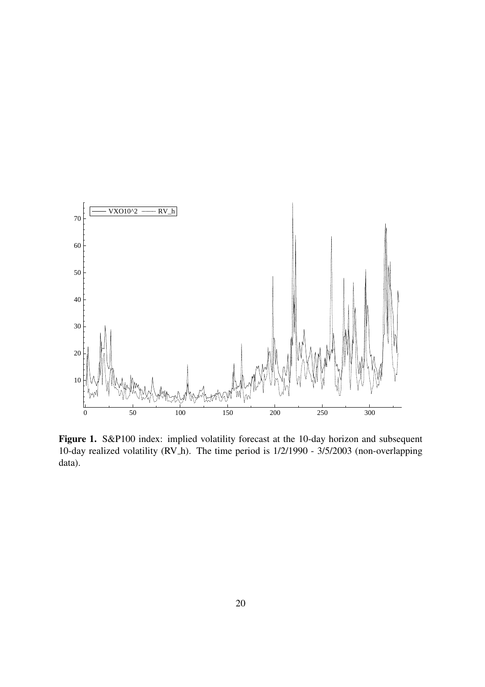

Figure 1. S&P100 index: implied volatility forecast at the 10-day horizon and subsequent 10-day realized volatility (RV h). The time period is 1/2/1990 - 3/5/2003 (non-overlapping data).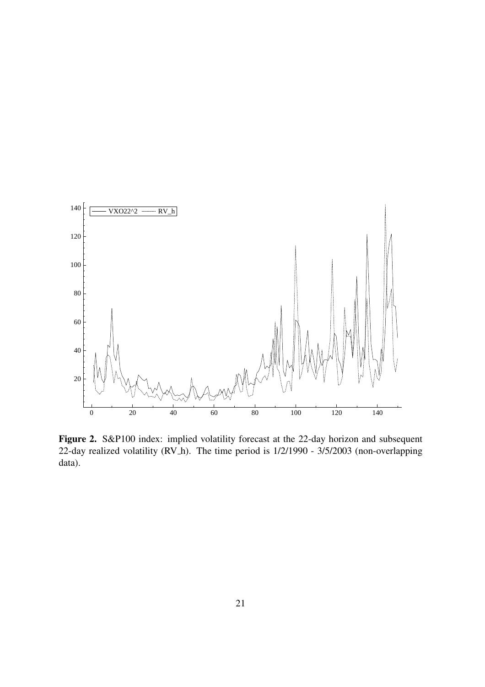

Figure 2. S&P100 index: implied volatility forecast at the 22-day horizon and subsequent 22-day realized volatility (RV h). The time period is 1/2/1990 - 3/5/2003 (non-overlapping data).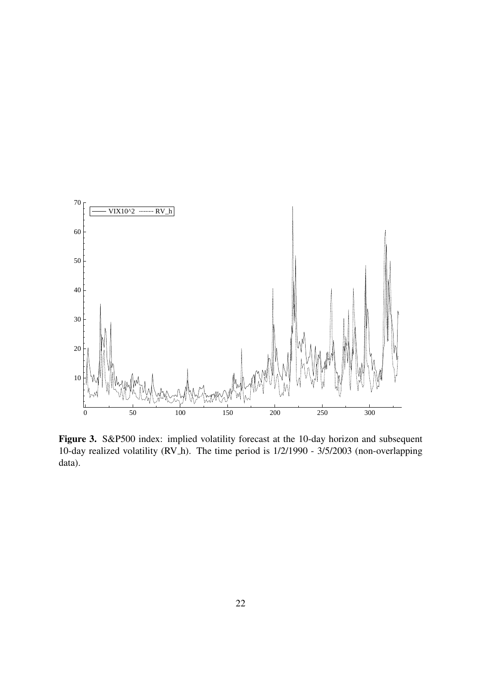

Figure 3. S&P500 index: implied volatility forecast at the 10-day horizon and subsequent 10-day realized volatility (RV h). The time period is 1/2/1990 - 3/5/2003 (non-overlapping data).